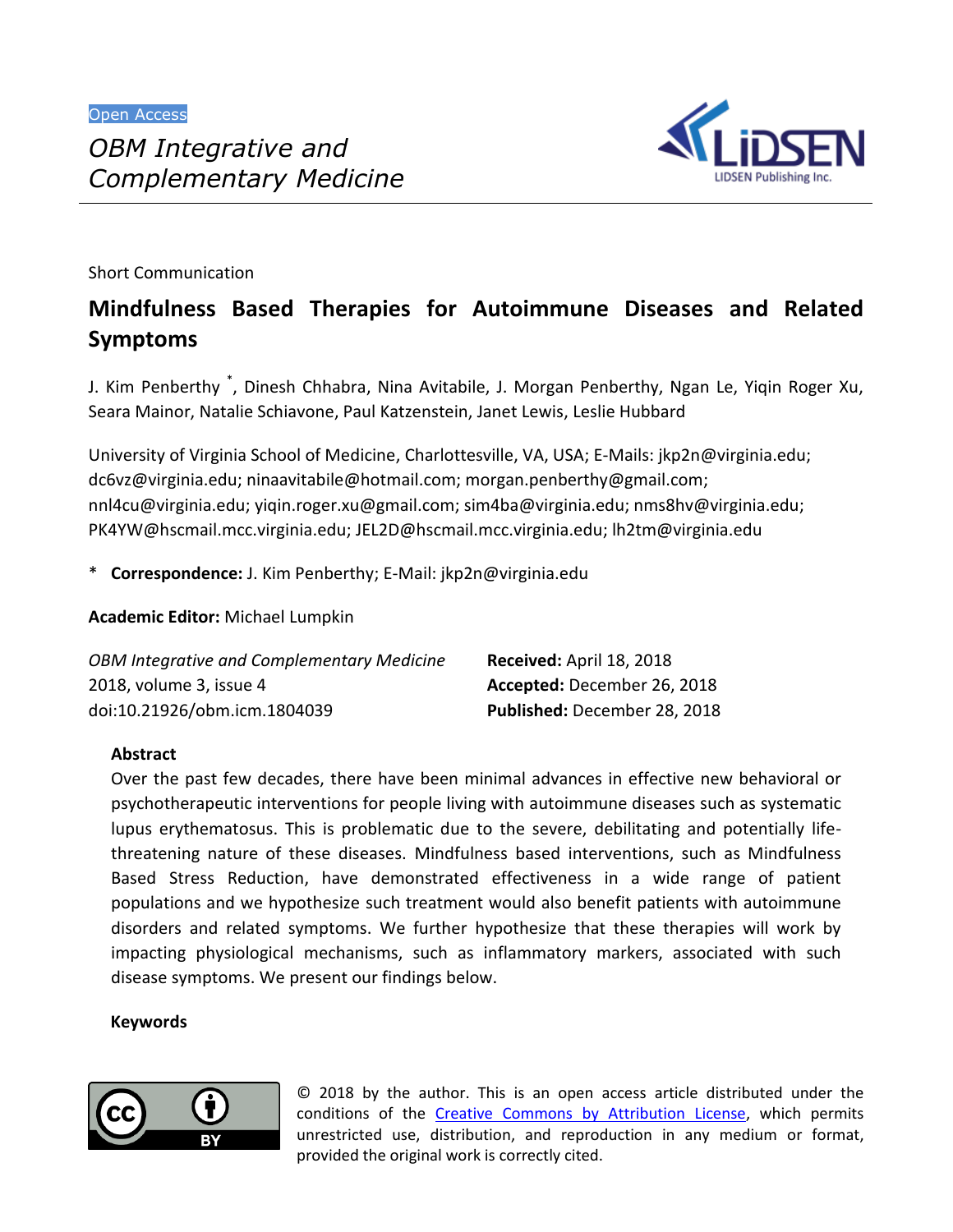

Short Communication

# **Mindfulness Based Therapies for Autoimmune Diseases and Related Symptoms**

J. Kim Penberthy \* , Dinesh Chhabra, Nina Avitabile, J. Morgan Penberthy, Ngan Le, Yiqin Roger Xu, Seara Mainor, Natalie Schiavone, Paul Katzenstein, Janet Lewis, Leslie Hubbard

University of Virginia School of Medicine, Charlottesville, VA, USA; E-Mails: jkp2n@virginia.edu; dc6vz@virginia.edu; ninaavitabile@hotmail.com; morgan.penberthy@gmail.com; nnl4cu@virginia.edu; yiqin.roger.xu@gmail.com; sim4ba@virginia.edu; nms8hv@virginia.edu; PK4YW@hscmail.mcc.virginia.edu; JEL2D@hscmail.mcc.virginia.edu; lh2tm@virginia.edu

\* **Correspondence:** J. Kim Penberthy; E-Mail: jkp2n@virginia.edu

**Academic Editor:** Michael Lumpkin

| OBM Integrative and Complementary Medicine | Received: April 18, 2018     |
|--------------------------------------------|------------------------------|
| 2018, volume 3, issue 4                    | Accepted: December 26, 2018  |
| doi:10.21926/obm.icm.1804039               | Published: December 28, 2018 |

# **Abstract**

Over the past few decades, there have been minimal advances in effective new behavioral or psychotherapeutic interventions for people living with autoimmune diseases such as systematic lupus erythematosus. This is problematic due to the severe, debilitating and potentially lifethreatening nature of these diseases. Mindfulness based interventions, such as Mindfulness Based Stress Reduction, have demonstrated effectiveness in a wide range of patient populations and we hypothesize such treatment would also benefit patients with autoimmune disorders and related symptoms. We further hypothesize that these therapies will work by impacting physiological mechanisms, such as inflammatory markers, associated with such disease symptoms. We present our findings below.

## **Keywords**



© 2018 by the author. This is an open access article distributed under the conditions of the Creative Commons by Attribution License, which permits unrestricted use, distribution, and reproduction in any medium or format, provided the original work is correctly cited.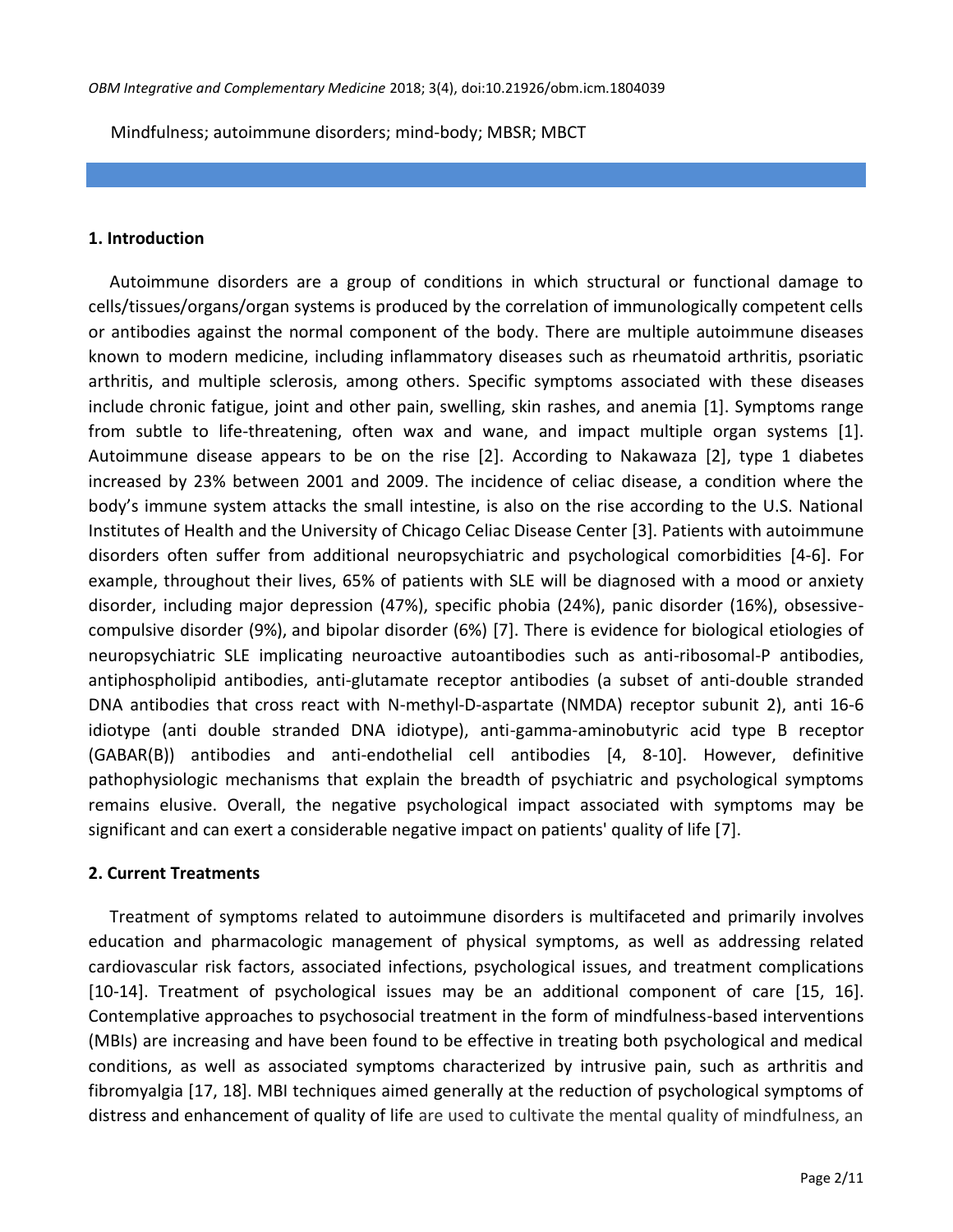Mindfulness; autoimmune disorders; mind-body; MBSR; MBCT

#### **1. Introduction**

Autoimmune disorders are a group of conditions in which structural or functional damage to cells/tissues/organs/organ systems is produced by the correlation of immunologically competent cells or antibodies against the normal component of the body. There are multiple autoimmune diseases known to modern medicine, including inflammatory diseases such as rheumatoid arthritis, psoriatic arthritis, and multiple sclerosis, among others. Specific symptoms associated with these diseases include chronic fatigue, joint and other pain, swelling, skin rashes, and anemia [1]. Symptoms range from subtle to life-threatening, often wax and wane, and impact multiple organ systems [1]. Autoimmune disease appears to be on the rise [2]. According to Nakawaza [2], type 1 diabetes increased by 23% between 2001 and 2009. The incidence of celiac disease, a condition where the body's immune system attacks the small intestine, is also on the rise according to the U.S. National Institutes of Health and the University of Chicago Celiac Disease Center [3]. Patients with autoimmune disorders often suffer from additional neuropsychiatric and psychological comorbidities [4-6]. For example, throughout their lives, 65% of patients with SLE will be diagnosed with a mood or anxiety disorder, including major depression (47%), specific phobia (24%), panic disorder (16%), obsessivecompulsive disorder (9%), and bipolar disorder (6%) [7]. There is evidence for biological etiologies of neuropsychiatric SLE implicating neuroactive autoantibodies such as anti-ribosomal-P antibodies, antiphospholipid antibodies, anti-glutamate receptor antibodies (a subset of anti-double stranded DNA antibodies that cross react with N-methyl-D-aspartate (NMDA) receptor subunit 2), anti 16-6 idiotype (anti double stranded DNA idiotype), anti-gamma-aminobutyric acid type B receptor (GABAR(B)) antibodies and anti-endothelial cell antibodies [4, 8-10]. However, definitive pathophysiologic mechanisms that explain the breadth of psychiatric and psychological symptoms remains elusive. Overall, the negative psychological impact associated with symptoms may be significant and can exert a considerable negative impact on patients' quality of life [7].

#### **2. Current Treatments**

Treatment of symptoms related to autoimmune disorders is multifaceted and primarily involves education and pharmacologic management of physical symptoms, as well as addressing related cardiovascular risk factors, associated infections, psychological issues, and treatment complications [10-14]. Treatment of psychological issues may be an additional component of care [15, 16]. Contemplative approaches to psychosocial treatment in the form of mindfulness-based interventions (MBIs) are increasing and have been found to be effective in treating both psychological and medical conditions, as well as associated symptoms characterized by intrusive pain, such as arthritis and fibromyalgia [17, 18]. MBI techniques aimed generally at the reduction of psychological symptoms of distress and enhancement of quality of life are used to cultivate the mental quality of mindfulness, an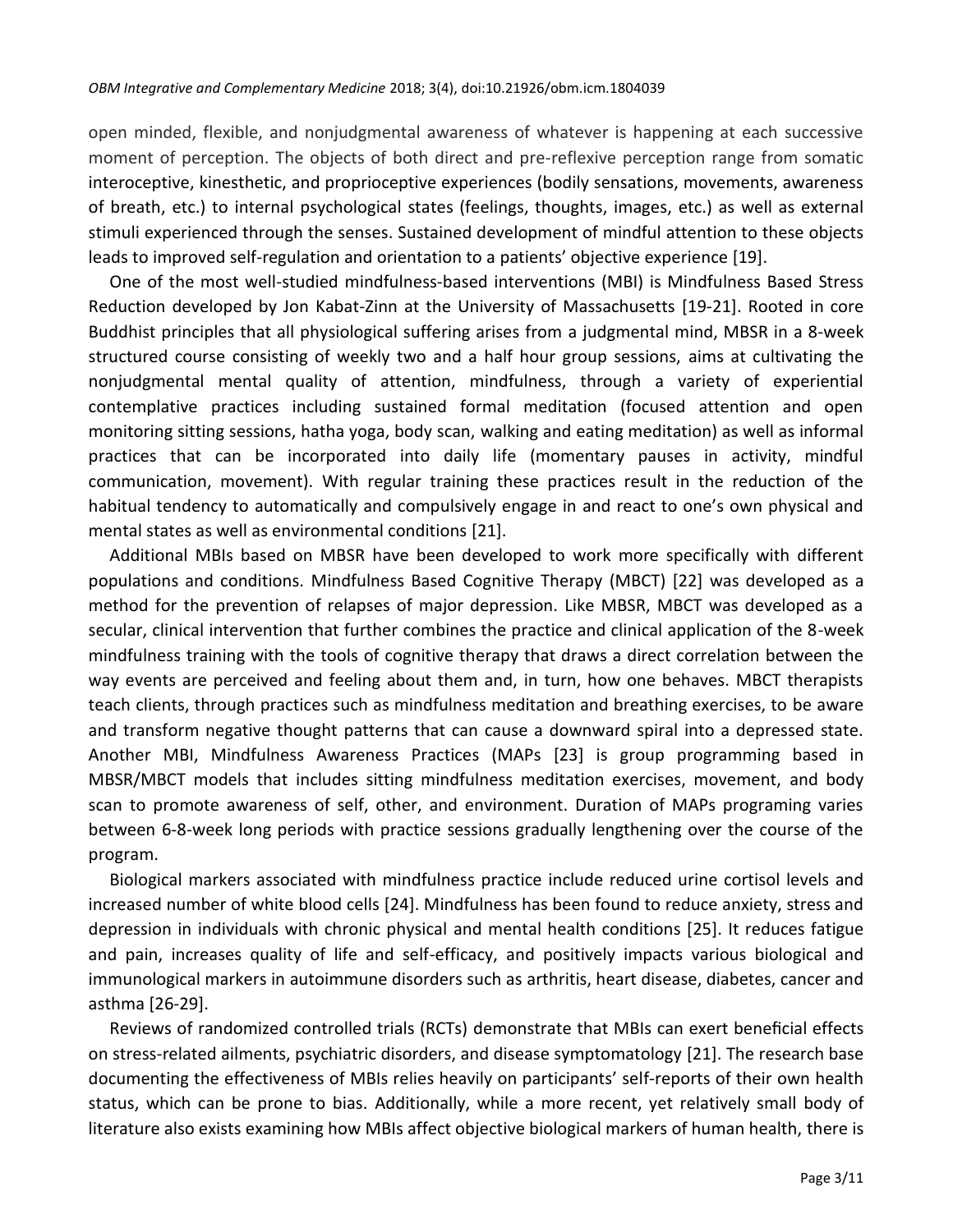open minded, flexible, and nonjudgmental awareness of whatever is happening at each successive moment of perception. The objects of both direct and pre-reflexive perception range from somatic interoceptive, kinesthetic, and proprioceptive experiences (bodily sensations, movements, awareness of breath, etc.) to internal psychological states (feelings, thoughts, images, etc.) as well as external stimuli experienced through the senses. Sustained development of mindful attention to these objects leads to improved self-regulation and orientation to a patients' objective experience [19].

One of the most well-studied mindfulness-based interventions (MBI) is Mindfulness Based Stress Reduction developed by Jon Kabat-Zinn at the University of Massachusetts [19-21]. Rooted in core Buddhist principles that all physiological suffering arises from a judgmental mind, MBSR in a 8-week structured course consisting of weekly two and a half hour group sessions, aims at cultivating the nonjudgmental mental quality of attention, mindfulness, through a variety of experiential contemplative practices including sustained formal meditation (focused attention and open monitoring sitting sessions, hatha yoga, body scan, walking and eating meditation) as well as informal practices that can be incorporated into daily life (momentary pauses in activity, mindful communication, movement). With regular training these practices result in the reduction of the habitual tendency to automatically and compulsively engage in and react to one's own physical and mental states as well as environmental conditions [21].

Additional MBIs based on MBSR have been developed to work more specifically with different populations and conditions. Mindfulness Based Cognitive Therapy (MBCT) [22] was developed as a method for the prevention of relapses of major depression. Like MBSR, MBCT was developed as a secular, clinical intervention that further combines the practice and clinical application of the 8-week mindfulness training with the tools of cognitive therapy that draws a direct correlation between the way events are perceived and feeling about them and, in turn, how one behaves. MBCT therapists teach clients, through practices such as mindfulness meditation and breathing exercises, to be aware and transform negative thought patterns that can cause a downward spiral into a depressed state. Another MBI, Mindfulness Awareness Practices (MAPs [23] is group programming based in MBSR/MBCT models that includes sitting mindfulness meditation exercises, movement, and body scan to promote awareness of self, other, and environment. Duration of MAPs programing varies between 6-8-week long periods with practice sessions gradually lengthening over the course of the program.

Biological markers associated with mindfulness practice include reduced urine cortisol levels and increased number of white blood cells [24]. Mindfulness has been found to reduce anxiety, stress and depression in individuals with chronic physical and mental health conditions [25]. It reduces fatigue and pain, increases quality of life and self-efficacy, and positively impacts various biological and immunological markers in autoimmune disorders such as arthritis, heart disease, diabetes, cancer and asthma [26-29].

Reviews of randomized controlled trials (RCTs) demonstrate that MBIs can exert beneficial effects on stress-related ailments, psychiatric disorders, and disease symptomatology [21]. The research base documenting the effectiveness of MBIs relies heavily on participants' self-reports of their own health status, which can be prone to bias. Additionally, while a more recent, yet relatively small body of literature also exists examining how MBIs affect objective biological markers of human health, there is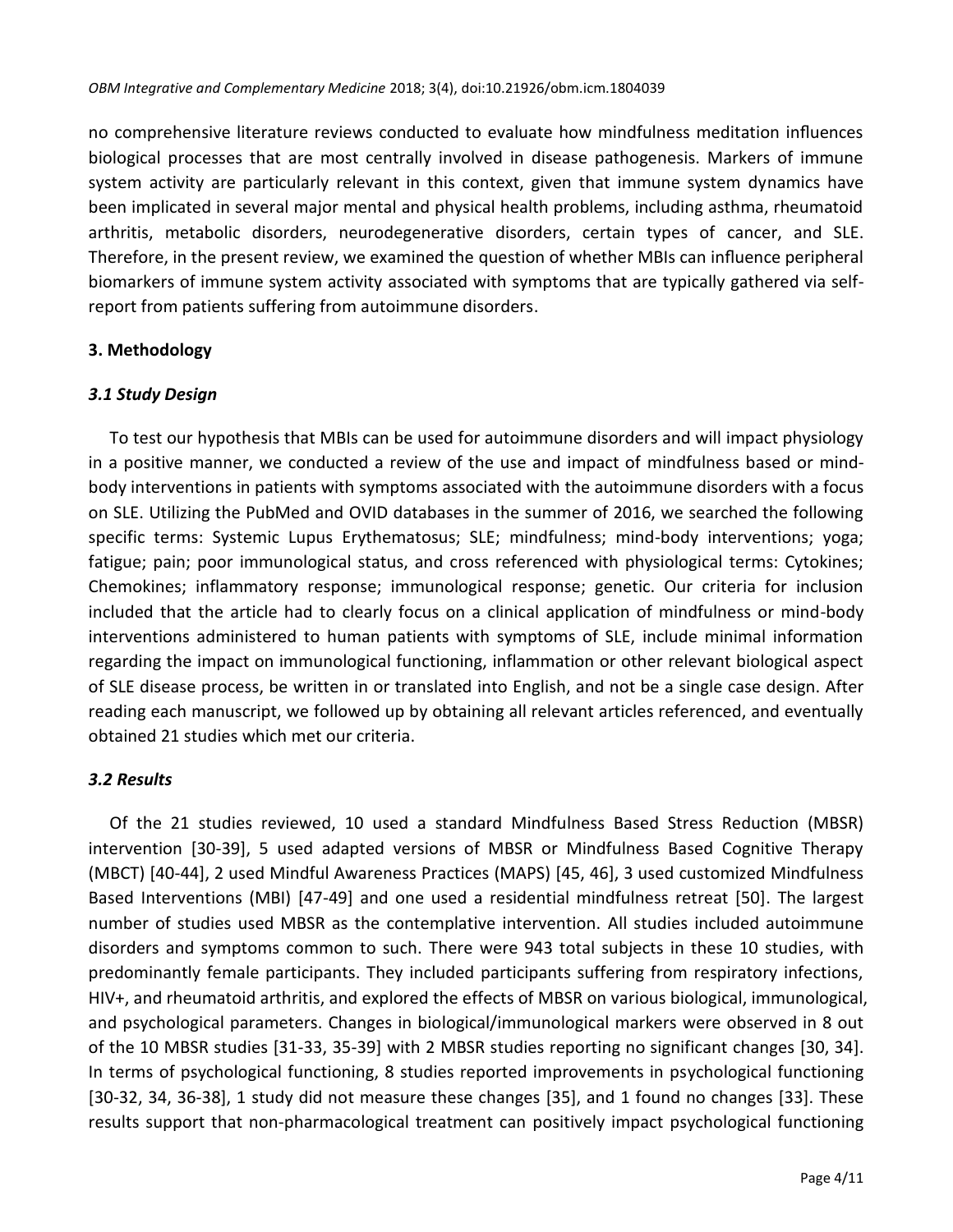no comprehensive literature reviews conducted to evaluate how mindfulness meditation influences biological processes that are most centrally involved in disease pathogenesis. Markers of immune system activity are particularly relevant in this context, given that immune system dynamics have been implicated in several major mental and physical health problems, including asthma, rheumatoid arthritis, metabolic disorders, neurodegenerative disorders, certain types of cancer, and SLE. Therefore, in the present review, we examined the question of whether MBIs can influence peripheral biomarkers of immune system activity associated with symptoms that are typically gathered via selfreport from patients suffering from autoimmune disorders.

## **3. Methodology**

## *3.1 Study Design*

To test our hypothesis that MBIs can be used for autoimmune disorders and will impact physiology in a positive manner, we conducted a review of the use and impact of mindfulness based or mindbody interventions in patients with symptoms associated with the autoimmune disorders with a focus on SLE. Utilizing the PubMed and OVID databases in the summer of 2016, we searched the following specific terms: Systemic Lupus Erythematosus; SLE; mindfulness; mind-body interventions; yoga; fatigue; pain; poor immunological status, and cross referenced with physiological terms: Cytokines; Chemokines; inflammatory response; immunological response; genetic. Our criteria for inclusion included that the article had to clearly focus on a clinical application of mindfulness or mind-body interventions administered to human patients with symptoms of SLE, include minimal information regarding the impact on immunological functioning, inflammation or other relevant biological aspect of SLE disease process, be written in or translated into English, and not be a single case design. After reading each manuscript, we followed up by obtaining all relevant articles referenced, and eventually obtained 21 studies which met our criteria.

## *3.2 Results*

Of the 21 studies reviewed, 10 used a standard Mindfulness Based Stress Reduction (MBSR) intervention [30-39], 5 used adapted versions of MBSR or Mindfulness Based Cognitive Therapy (MBCT) [40-44], 2 used Mindful Awareness Practices (MAPS) [45, 46], 3 used customized Mindfulness Based Interventions (MBI) [47-49] and one used a residential mindfulness retreat [50]. The largest number of studies used MBSR as the contemplative intervention. All studies included autoimmune disorders and symptoms common to such. There were 943 total subjects in these 10 studies, with predominantly female participants. They included participants suffering from respiratory infections, HIV+, and rheumatoid arthritis, and explored the effects of MBSR on various biological, immunological, and psychological parameters. Changes in biological/immunological markers were observed in 8 out of the 10 MBSR studies [31-33, 35-39] with 2 MBSR studies reporting no significant changes [30, 34]. In terms of psychological functioning, 8 studies reported improvements in psychological functioning [30-32, 34, 36-38], 1 study did not measure these changes [35], and 1 found no changes [33]. These results support that non-pharmacological treatment can positively impact psychological functioning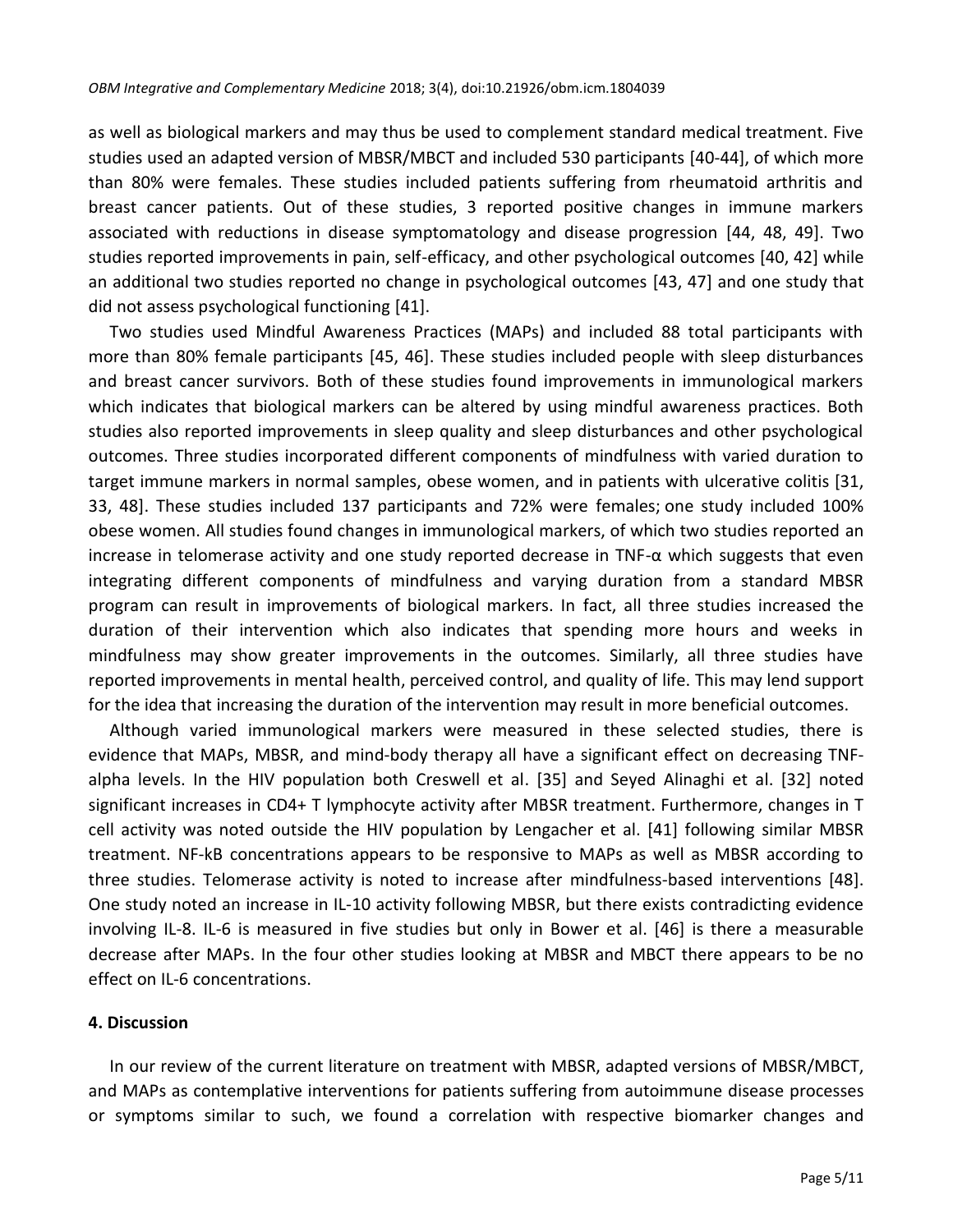as well as biological markers and may thus be used to complement standard medical treatment. Five studies used an adapted version of MBSR/MBCT and included 530 participants [40-44], of which more than 80% were females. These studies included patients suffering from rheumatoid arthritis and breast cancer patients. Out of these studies, 3 reported positive changes in immune markers associated with reductions in disease symptomatology and disease progression [44, 48, 49]. Two studies reported improvements in pain, self-efficacy, and other psychological outcomes [40, 42] while an additional two studies reported no change in psychological outcomes [43, 47] and one study that did not assess psychological functioning [41].

Two studies used Mindful Awareness Practices (MAPs) and included 88 total participants with more than 80% female participants [45, 46]. These studies included people with sleep disturbances and breast cancer survivors. Both of these studies found improvements in immunological markers which indicates that biological markers can be altered by using mindful awareness practices. Both studies also reported improvements in sleep quality and sleep disturbances and other psychological outcomes. Three studies incorporated different components of mindfulness with varied duration to target immune markers in normal samples, obese women, and in patients with ulcerative colitis [31, 33, 48]. These studies included 137 participants and 72% were females; one study included 100% obese women. All studies found changes in immunological markers, of which two studies reported an increase in telomerase activity and one study reported decrease in TNF- $\alpha$  which suggests that even integrating different components of mindfulness and varying duration from a standard MBSR program can result in improvements of biological markers. In fact, all three studies increased the duration of their intervention which also indicates that spending more hours and weeks in mindfulness may show greater improvements in the outcomes. Similarly, all three studies have reported improvements in mental health, perceived control, and quality of life. This may lend support for the idea that increasing the duration of the intervention may result in more beneficial outcomes.

Although varied immunological markers were measured in these selected studies, there is evidence that MAPs, MBSR, and mind-body therapy all have a significant effect on decreasing TNFalpha levels. In the HIV population both Creswell et al. [35] and Seyed Alinaghi et al. [32] noted significant increases in CD4+ T lymphocyte activity after MBSR treatment. Furthermore, changes in T cell activity was noted outside the HIV population by Lengacher et al. [41] following similar MBSR treatment. NF-kB concentrations appears to be responsive to MAPs as well as MBSR according to three studies. Telomerase activity is noted to increase after mindfulness-based interventions [48]. One study noted an increase in IL-10 activity following MBSR, but there exists contradicting evidence involving IL-8. IL-6 is measured in five studies but only in Bower et al. [46] is there a measurable decrease after MAPs. In the four other studies looking at MBSR and MBCT there appears to be no effect on IL-6 concentrations.

#### **4. Discussion**

In our review of the current literature on treatment with MBSR, adapted versions of MBSR/MBCT, and MAPs as contemplative interventions for patients suffering from autoimmune disease processes or symptoms similar to such, we found a correlation with respective biomarker changes and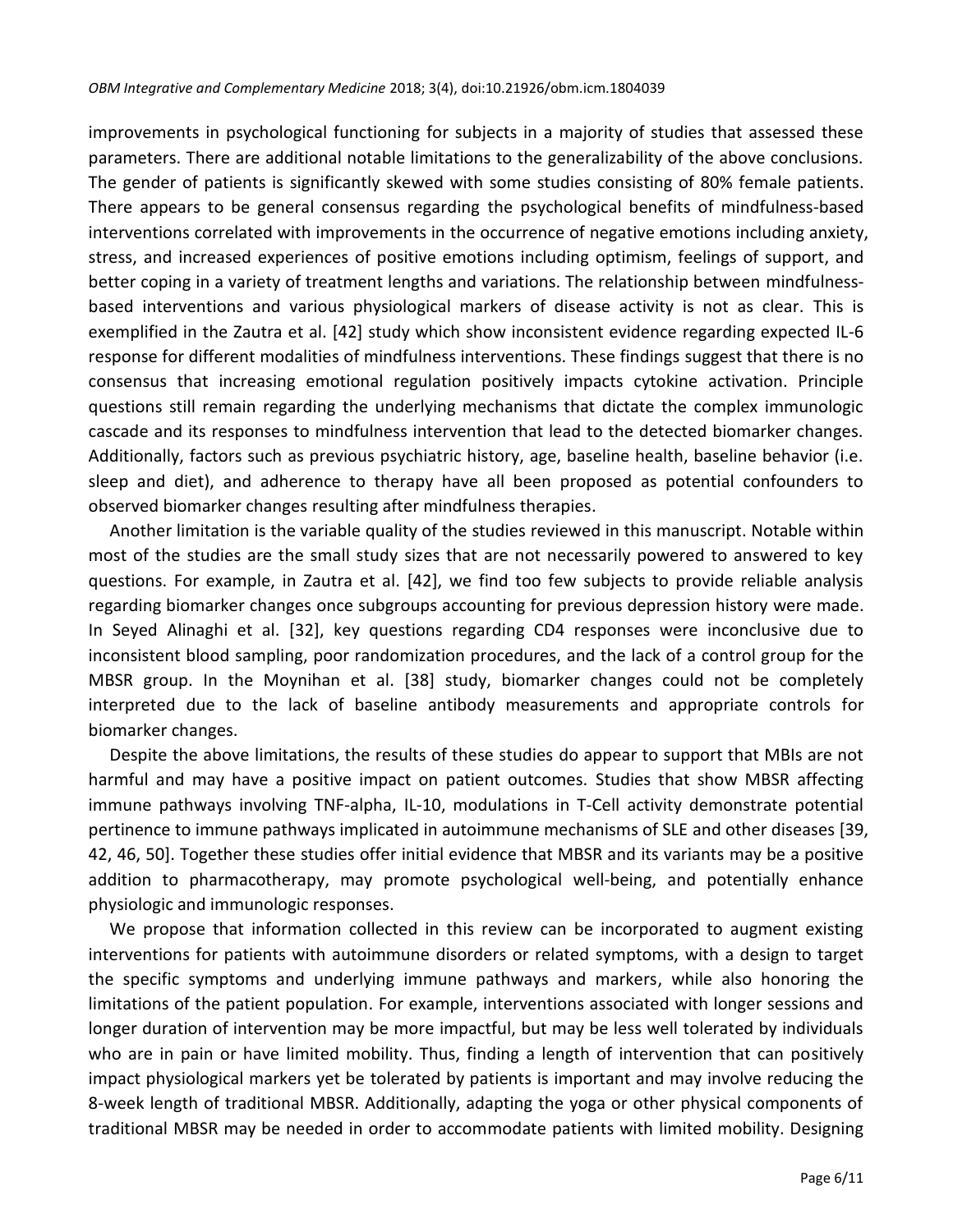improvements in psychological functioning for subjects in a majority of studies that assessed these parameters. There are additional notable limitations to the generalizability of the above conclusions. The gender of patients is significantly skewed with some studies consisting of 80% female patients. There appears to be general consensus regarding the psychological benefits of mindfulness-based interventions correlated with improvements in the occurrence of negative emotions including anxiety, stress, and increased experiences of positive emotions including optimism, feelings of support, and better coping in a variety of treatment lengths and variations. The relationship between mindfulnessbased interventions and various physiological markers of disease activity is not as clear. This is exemplified in the Zautra et al. [42] study which show inconsistent evidence regarding expected IL-6 response for different modalities of mindfulness interventions. These findings suggest that there is no consensus that increasing emotional regulation positively impacts cytokine activation. Principle questions still remain regarding the underlying mechanisms that dictate the complex immunologic cascade and its responses to mindfulness intervention that lead to the detected biomarker changes. Additionally, factors such as previous psychiatric history, age, baseline health, baseline behavior (i.e. sleep and diet), and adherence to therapy have all been proposed as potential confounders to observed biomarker changes resulting after mindfulness therapies.

Another limitation is the variable quality of the studies reviewed in this manuscript. Notable within most of the studies are the small study sizes that are not necessarily powered to answered to key questions. For example, in Zautra et al. [42], we find too few subjects to provide reliable analysis regarding biomarker changes once subgroups accounting for previous depression history were made. In Seyed Alinaghi et al. [32], key questions regarding CD4 responses were inconclusive due to inconsistent blood sampling, poor randomization procedures, and the lack of a control group for the MBSR group. In the Moynihan et al. [38] study, biomarker changes could not be completely interpreted due to the lack of baseline antibody measurements and appropriate controls for biomarker changes.

Despite the above limitations, the results of these studies do appear to support that MBIs are not harmful and may have a positive impact on patient outcomes. Studies that show MBSR affecting immune pathways involving TNF-alpha, IL-10, modulations in T-Cell activity demonstrate potential pertinence to immune pathways implicated in autoimmune mechanisms of SLE and other diseases [39, 42, 46, 50]. Together these studies offer initial evidence that MBSR and its variants may be a positive addition to pharmacotherapy, may promote psychological well-being, and potentially enhance physiologic and immunologic responses.

We propose that information collected in this review can be incorporated to augment existing interventions for patients with autoimmune disorders or related symptoms, with a design to target the specific symptoms and underlying immune pathways and markers, while also honoring the limitations of the patient population. For example, interventions associated with longer sessions and longer duration of intervention may be more impactful, but may be less well tolerated by individuals who are in pain or have limited mobility. Thus, finding a length of intervention that can positively impact physiological markers yet be tolerated by patients is important and may involve reducing the 8-week length of traditional MBSR. Additionally, adapting the yoga or other physical components of traditional MBSR may be needed in order to accommodate patients with limited mobility. Designing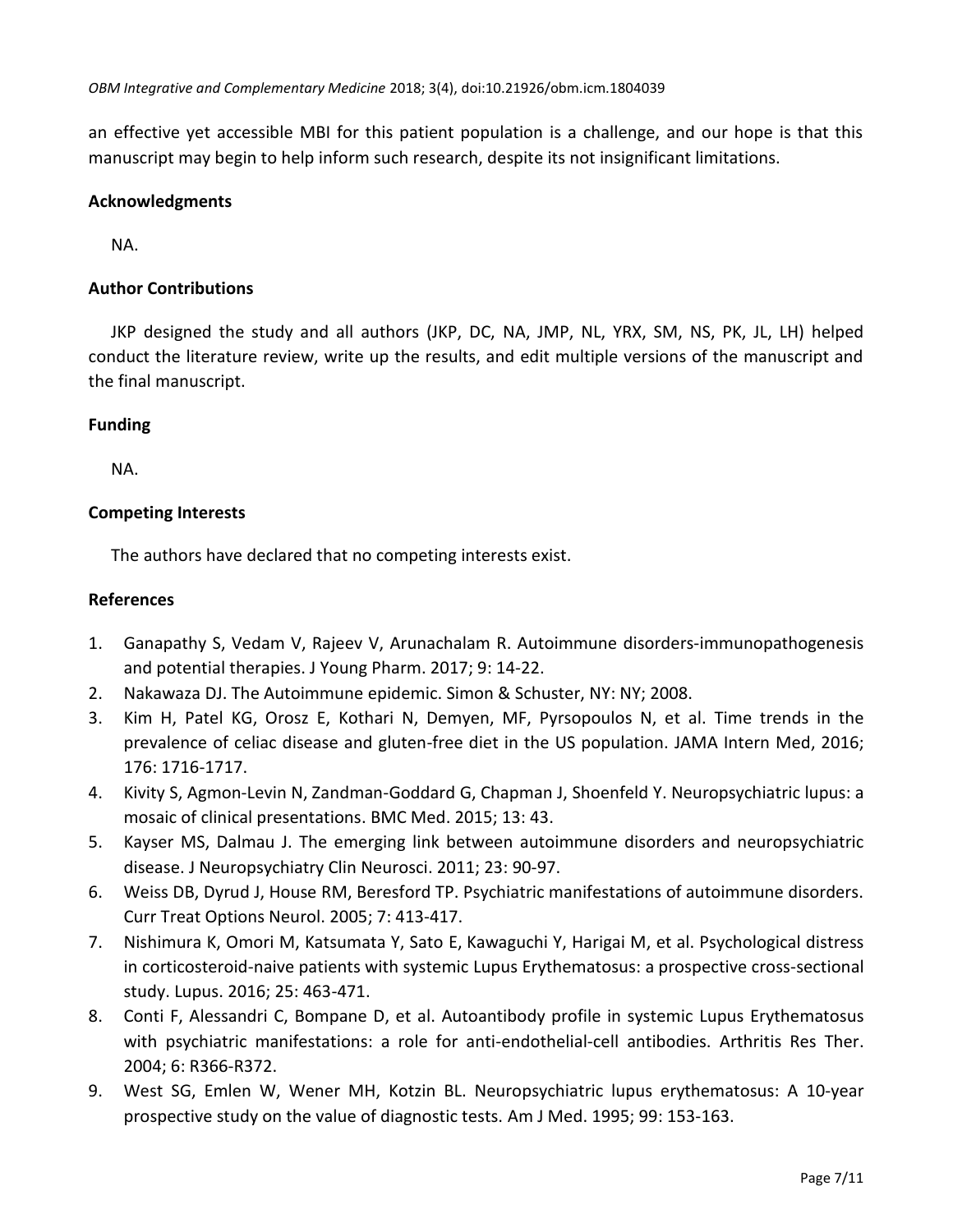an effective yet accessible MBI for this patient population is a challenge, and our hope is that this manuscript may begin to help inform such research, despite its not insignificant limitations.

## **Acknowledgments**

NA.

# **Author Contributions**

JKP designed the study and all authors (JKP, DC, NA, JMP, NL, YRX, SM, NS, PK, JL, LH) helped conduct the literature review, write up the results, and edit multiple versions of the manuscript and the final manuscript.

## **Funding**

NA.

# **Competing Interests**

The authors have declared that no competing interests exist.

## **References**

- 1. Ganapathy S, Vedam V, Rajeev V, Arunachalam R. Autoimmune disorders-immunopathogenesis and potential therapies. J Young Pharm. 2017; 9: 14-22.
- 2. Nakawaza DJ. The Autoimmune epidemic. Simon & Schuster, NY: NY; 2008.
- 3. Kim H, Patel KG, Orosz E, [Kothari](https://www.ncbi.nlm.nih.gov/pubmed/?term=Kothari%20N%5BAuthor%5D&cauthor=true&cauthor_uid=27598396) N, [Demyen, MF,](https://www.ncbi.nlm.nih.gov/pubmed/?term=Demyen%20MF%5BAuthor%5D&cauthor=true&cauthor_uid=27598396) [Pyrsopoulos N,](https://www.ncbi.nlm.nih.gov/pubmed/?term=Pyrsopoulos%20N%5BAuthor%5D&cauthor=true&cauthor_uid=27598396) [et](https://www.ncbi.nlm.nih.gov/pubmed/?term=Ahlawat%20SK%5BAuthor%5D&cauthor=true&cauthor_uid=27598396) al. Time trends in the prevalence of celiac disease and gluten-free diet in the US population. [JAMA Intern Med,](http://jamanetwork.com/journals/jamainternalmedicine/article-abstract/2547202) 2016; 176: 1716-1717.
- 4. Kivity S, Agmon-Levin N, Zandman-Goddard G, Chapman J, Shoenfeld Y. Neuropsychiatric lupus: a mosaic of clinical presentations. BMC Med. 2015; 13: 43.
- 5. Kayser MS, Dalmau J. The emerging link between autoimmune disorders and neuropsychiatric disease. J Neuropsychiatry Clin Neurosci. 2011; 23: 90-97.
- 6. Weiss DB, Dyrud J, House RM, Beresford TP. Psychiatric manifestations of autoimmune disorders. Curr Treat Options Neurol. 2005; 7: 413-417.
- 7. Nishimura K, Omori M, Katsumata Y, Sato E, Kawaguchi Y, Harigai M, et al. Psychological distress in corticosteroid-naive patients with systemic Lupus Erythematosus: a prospective cross-sectional study. Lupus. 2016; 25: 463-471.
- 8. Conti F, Alessandri C, Bompane D, et al. Autoantibody profile in systemic Lupus Erythematosus with psychiatric manifestations: a role for anti-endothelial-cell antibodies. Arthritis Res Ther. 2004; 6: R366-R372.
- 9. West SG, Emlen W, Wener MH, Kotzin BL. Neuropsychiatric lupus erythematosus: A 10-year prospective study on the value of diagnostic tests. Am J Med. 1995; 99: 153-163.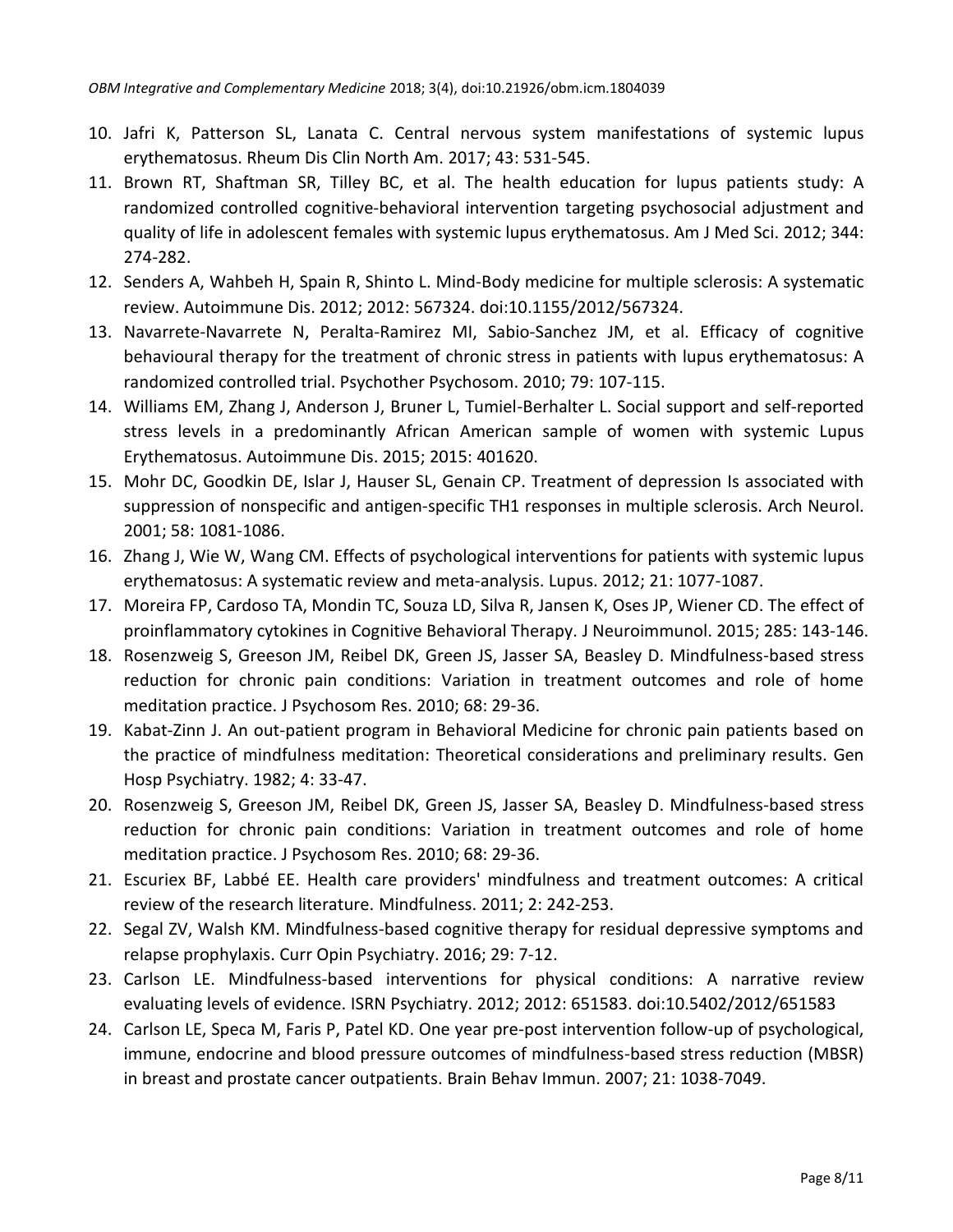- 10. Jafri K, Patterson SL, Lanata C. Central nervous system manifestations of systemic lupus erythematosus. [Rheum Dis Clin North Am.](https://www.ncbi.nlm.nih.gov/pubmed/29061240) 2017; 43: 531-545.
- 11. Brown RT, Shaftman SR, Tilley BC, et al. The health education for lupus patients study: A randomized controlled cognitive-behavioral intervention targeting psychosocial adjustment and quality of life in adolescent females with systemic lupus erythematosus. Am J Med Sci. 2012; 344: 274-282.
- 12. Senders A, Wahbeh H, Spain R, Shinto L. Mind-Body medicine for multiple sclerosis: A systematic review. Autoimmune Dis. 2012; 2012: 567324. doi:10.1155/2012/567324.
- 13. Navarrete-Navarrete N, Peralta-Ramirez MI, Sabio-Sanchez JM, et al. Efficacy of cognitive behavioural therapy for the treatment of chronic stress in patients with lupus erythematosus: A randomized controlled trial. Psychother Psychosom. 2010; 79: 107-115.
- 14. Williams EM, Zhang J, Anderson J, Bruner L, Tumiel-Berhalter L. Social support and self-reported stress levels in a predominantly African American sample of women with systemic Lupus Erythematosus. Autoimmune Dis. 2015; 2015: 401620.
- 15. Mohr DC, Goodkin DE, Islar J, Hauser SL, Genain CP. Treatment of depression Is associated with suppression of nonspecific and antigen-specific TH1 responses in multiple sclerosis. Arch Neurol. 2001; 58: 1081-1086.
- 16. Zhang J, [Wie W,](https://www.ncbi.nlm.nih.gov/pubmed/?term=Wei%20W%5BAuthor%5D&cauthor=true&cauthor_uid=22570339) Wang CM. Effects of psychological interventions for patients with systemic lupus erythematosus: A systematic review and meta-analysis. Lupus. 2012; 21: 1077-1087.
- 17. [Moreira](https://www.ncbi.nlm.nih.gov/pubmed/?term=Moreira%20FP%5BAuthor%5D&cauthor=true&cauthor_uid=26198931) FP, [Cardoso TA,](https://www.ncbi.nlm.nih.gov/pubmed/?term=Cardoso%20Tde%20A%5BAuthor%5D&cauthor=true&cauthor_uid=26198931) [Mondin TC,](https://www.ncbi.nlm.nih.gov/pubmed/?term=Mondin%20TC%5BAuthor%5D&cauthor=true&cauthor_uid=26198931) [Souza LD,](https://www.ncbi.nlm.nih.gov/pubmed/?term=Souza%20LD%5BAuthor%5D&cauthor=true&cauthor_uid=26198931) [Silva](https://www.ncbi.nlm.nih.gov/pubmed/?term=Silva%20R%5BAuthor%5D&cauthor=true&cauthor_uid=26198931) R, [Jansen](https://www.ncbi.nlm.nih.gov/pubmed/?term=Jansen%20K%5BAuthor%5D&cauthor=true&cauthor_uid=26198931) K, [Oses JP,](https://www.ncbi.nlm.nih.gov/pubmed/?term=Oses%20JP%5BAuthor%5D&cauthor=true&cauthor_uid=26198931) [Wiener CD.](https://www.ncbi.nlm.nih.gov/pubmed/?term=Wiener%20CD%5BAuthor%5D&cauthor=true&cauthor_uid=26198931) The effect of proinflammatory cytokines in Cognitive Behavioral Therapy. J Neuroimmunol. 2015; 285: 143-146.
- 18. Rosenzweig S, [Greeson JM,](https://www.ncbi.nlm.nih.gov/pubmed/?term=Greeson%20JM%5BAuthor%5D&cauthor=true&cauthor_uid=20004298) [Reibel](https://www.ncbi.nlm.nih.gov/pubmed/?term=Reibel%20DK%5BAuthor%5D&cauthor=true&cauthor_uid=20004298) DK, [Green JS,](https://www.ncbi.nlm.nih.gov/pubmed/?term=Green%20JS%5BAuthor%5D&cauthor=true&cauthor_uid=20004298) [Jasser SA,](https://www.ncbi.nlm.nih.gov/pubmed/?term=Jasser%20SA%5BAuthor%5D&cauthor=true&cauthor_uid=20004298) [Beasley](https://www.ncbi.nlm.nih.gov/pubmed/?term=Beasley%20D%5BAuthor%5D&cauthor=true&cauthor_uid=20004298) D. Mindfulness-based stress reduction for chronic pain conditions: Variation in treatment outcomes and role of home meditation practice. J Psychosom Res. 2010; 68: 29-36.
- 19. Kabat-Zinn J. [An out-patient program in Behavioral Medicine for chronic pain patients based on](http://www.umassmed.edu/cfm/bibliography/abstracts/abstracts1.cfm)  the practice of mindfulness meditation: [Theoretical considerations and preliminary results.](http://www.umassmed.edu/cfm/bibliography/abstracts/abstracts1.cfm) Gen Hosp Psychiatry. 1982; 4: 33-47.
- 20. Rosenzweig S, Greeson JM, Reibel DK, Green JS, Jasser SA, Beasley D. Mindfulness-based stress reduction for chronic pain conditions: Variation in treatment outcomes and role of home meditation practice. J Psychosom Res. 2010; 68: 29-36.
- 21. Escuriex BF, Labbé EE. Health care providers' mindfulness and treatment outcomes: A critical review of the research literature. Mindfulness. 2011; 2: 242-253.
- 22. Segal ZV, Walsh KM. Mindfulness-based cognitive therapy for residual depressive symptoms and relapse prophylaxis. Curr Opin Psychiatry. 2016; 29: 7-12.
- 23. Carlson LE. Mindfulness-based interventions for physical conditions: A narrative review evaluating levels of evidence. ISRN Psychiatry. 2012; 2012: 651583. doi:10.5402/2012/651583
- 24. Carlson LE, Speca M, [Faris](https://www.ncbi.nlm.nih.gov/pubmed/?term=Faris%20P%5BAuthor%5D&cauthor=true&cauthor_uid=17521871) P, [Patel KD.](https://www.ncbi.nlm.nih.gov/pubmed/?term=Patel%20KD%5BAuthor%5D&cauthor=true&cauthor_uid=17521871) One year pre-post intervention follow-up of psychological, immune, endocrine and blood pressure outcomes of mindfulness-based stress reduction (MBSR) in breast and prostate cancer outpatients. Brain Behav Immun. 2007; 21: 1038-7049.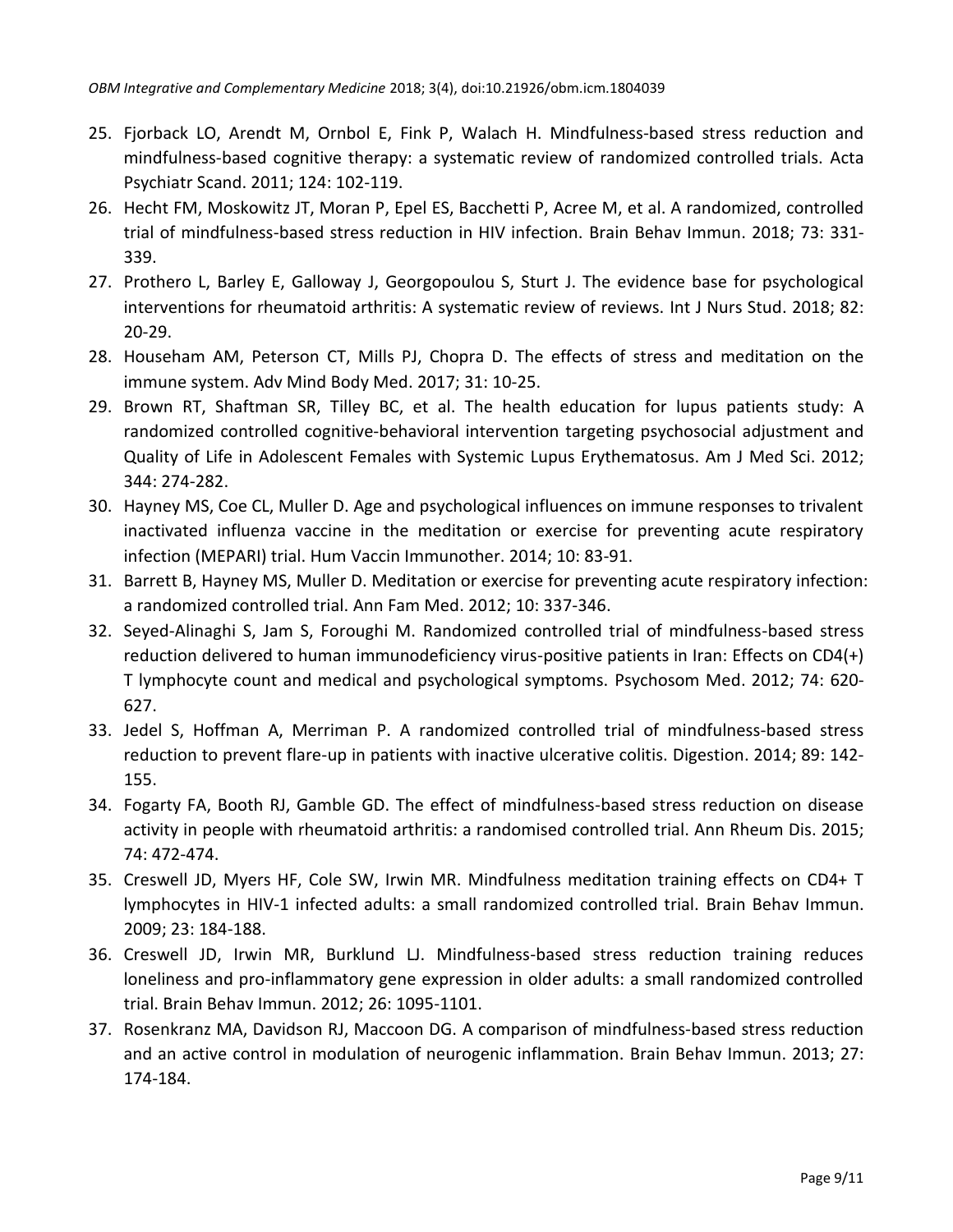- 25. Fjorback LO, [Arendt](https://www.ncbi.nlm.nih.gov/pubmed/?term=Arendt%20M%5BAuthor%5D&cauthor=true&cauthor_uid=21534932) M, Ornbol E, [Fink](https://www.ncbi.nlm.nih.gov/pubmed/?term=Fink%20P%5BAuthor%5D&cauthor=true&cauthor_uid=21534932) P, [Walach](https://www.ncbi.nlm.nih.gov/pubmed/?term=Walach%20H%5BAuthor%5D&cauthor=true&cauthor_uid=21534932) H. Mindfulness-based stress reduction and mindfulness-based cognitive therapy: a systematic review of randomized controlled trials. Acta Psychiatr Scand. 2011; 124: 102-119.
- 26. Hecht FM, Moskowitz JT, Moran P, Epel ES, Bacchetti P, Acree M, et al. A randomized, controlled trial of mindfulness-based stress reduction in HIV infection. Brain Behav Immun. 2018; 73: 331- 339.
- 27. Prothero L, Barley E, Galloway J, Georgopoulou S, Sturt J. [The evidence base for psychological](https://www.ncbi.nlm.nih.gov/pubmed/29573593)  [interventions for rheumatoid arthritis: A systematic review of reviews.](https://www.ncbi.nlm.nih.gov/pubmed/29573593) Int J Nurs Stud. 2018; 82: 20-29.
- 28. Househam AM, Peterson CT, Mills PJ, Chopra D. The effects of stress and meditation on the immune system. Adv Mind Body Med. 2017; 31: 10-25.
- 29. Brown RT, Shaftman SR, Tilley BC, et al. The health education for lupus patients study: A randomized controlled cognitive-behavioral intervention targeting psychosocial adjustment and Quality of Life in Adolescent Females with Systemic Lupus Erythematosus. Am J Med Sci. 2012; 344: 274-282.
- 30. Hayney MS, Coe CL, Muller D. Age and psychological influences on immune responses to trivalent inactivated influenza vaccine in the meditation or exercise for preventing acute respiratory infection (MEPARI) trial. Hum Vaccin Immunother. 2014; 10: 83-91.
- 31. Barrett B, Hayney MS, Muller D. Meditation or exercise for preventing acute respiratory infection: a randomized controlled trial. Ann Fam Med. 2012; 10: 337-346.
- 32. Seyed-Alinaghi S, Jam S, Foroughi M. Randomized controlled trial of mindfulness-based stress reduction delivered to human immunodeficiency virus-positive patients in Iran: Effects on CD4(+) T lymphocyte count and medical and psychological symptoms. Psychosom Med. 2012; 74: 620- 627.
- 33. Jedel S, Hoffman A, Merriman P. A randomized controlled trial of mindfulness-based stress reduction to prevent flare-up in patients with inactive ulcerative colitis. Digestion. 2014; 89: 142- 155.
- 34. Fogarty FA, Booth RJ, Gamble GD. The effect of mindfulness-based stress reduction on disease activity in people with rheumatoid arthritis: a randomised controlled trial. Ann Rheum Dis. 2015; 74: 472-474.
- 35. Creswell JD, Myers HF, Cole SW, Irwin MR. Mindfulness meditation training effects on CD4+ T lymphocytes in HIV-1 infected adults: a small randomized controlled trial. Brain Behav Immun. 2009; 23: 184-188.
- 36. Creswell JD, Irwin MR, Burklund LJ. Mindfulness-based stress reduction training reduces loneliness and pro-inflammatory gene expression in older adults: a small randomized controlled trial. Brain Behav Immun. 2012; 26: 1095-1101.
- 37. Rosenkranz MA, Davidson RJ, Maccoon DG. A comparison of mindfulness-based stress reduction and an active control in modulation of neurogenic inflammation. Brain Behav Immun. 2013; 27: 174-184.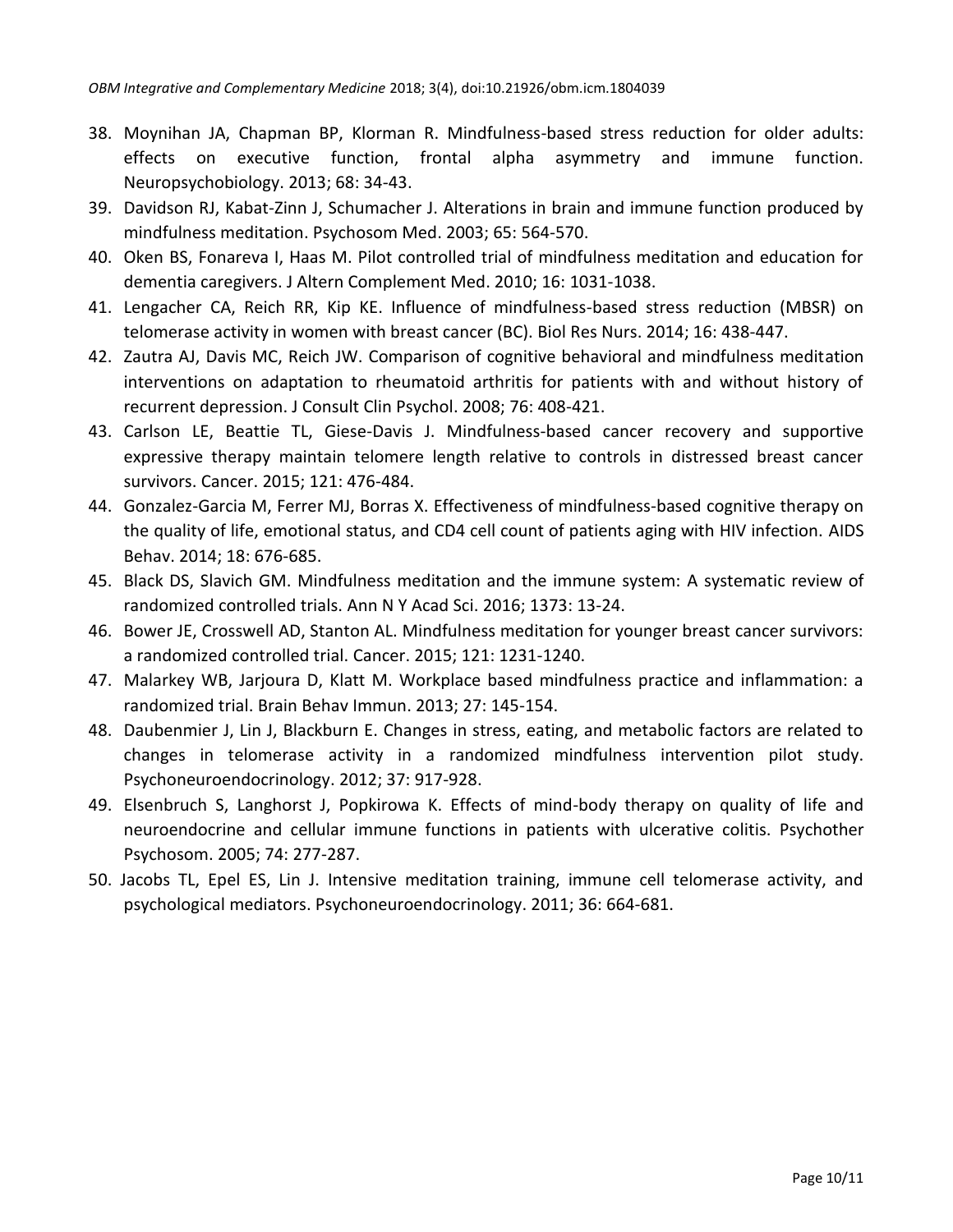- 38. Moynihan JA, Chapman BP, Klorman R. Mindfulness-based stress reduction for older adults: effects on executive function, frontal alpha asymmetry and immune function. Neuropsychobiology. 2013; 68: 34-43.
- 39. Davidson RJ, Kabat-Zinn J, Schumacher J. Alterations in brain and immune function produced by mindfulness meditation. Psychosom Med. 2003; 65: 564-570.
- 40. Oken BS, Fonareva I, Haas M. Pilot controlled trial of mindfulness meditation and education for dementia caregivers. J Altern Complement Med. 2010; 16: 1031-1038.
- 41. Lengacher CA, Reich RR, Kip KE. Influence of mindfulness-based stress reduction (MBSR) on telomerase activity in women with breast cancer (BC). Biol Res Nurs. 2014; 16: 438-447.
- 42. Zautra AJ, Davis MC, Reich JW. Comparison of cognitive behavioral and mindfulness meditation interventions on adaptation to rheumatoid arthritis for patients with and without history of recurrent depression. J Consult Clin Psychol. 2008; 76: 408-421.
- 43. Carlson LE, Beattie TL, Giese-Davis J. Mindfulness-based cancer recovery and supportive expressive therapy maintain telomere length relative to controls in distressed breast cancer survivors. Cancer. 2015; 121: 476-484.
- 44. Gonzalez-Garcia M, Ferrer MJ, Borras X. Effectiveness of mindfulness-based cognitive therapy on the quality of life, emotional status, and CD4 cell count of patients aging with HIV infection. AIDS Behav. 2014; 18: 676-685.
- 45. Black DS, Slavich GM. Mindfulness meditation and the immune system: A systematic review of randomized controlled trials. Ann N Y Acad Sci. 2016; 1373: 13-24.
- 46. Bower JE, Crosswell AD, Stanton AL. Mindfulness meditation for younger breast cancer survivors: a randomized controlled trial. Cancer. 2015; 121: 1231-1240.
- 47. Malarkey WB, Jarjoura D, Klatt M. Workplace based mindfulness practice and inflammation: a randomized trial. Brain Behav Immun. 2013; 27: 145-154.
- 48. Daubenmier J, Lin J, Blackburn E. Changes in stress, eating, and metabolic factors are related to changes in telomerase activity in a randomized mindfulness intervention pilot study. Psychoneuroendocrinology. 2012; 37: 917-928.
- 49. Elsenbruch S, Langhorst J, Popkirowa K. Effects of mind-body therapy on quality of life and neuroendocrine and cellular immune functions in patients with ulcerative colitis. Psychother Psychosom. 2005; 74: 277-287.
- 50. Jacobs TL, Epel ES, Lin J. Intensive meditation training, immune cell telomerase activity, and psychological mediators. Psychoneuroendocrinology. 2011; 36: 664-681.